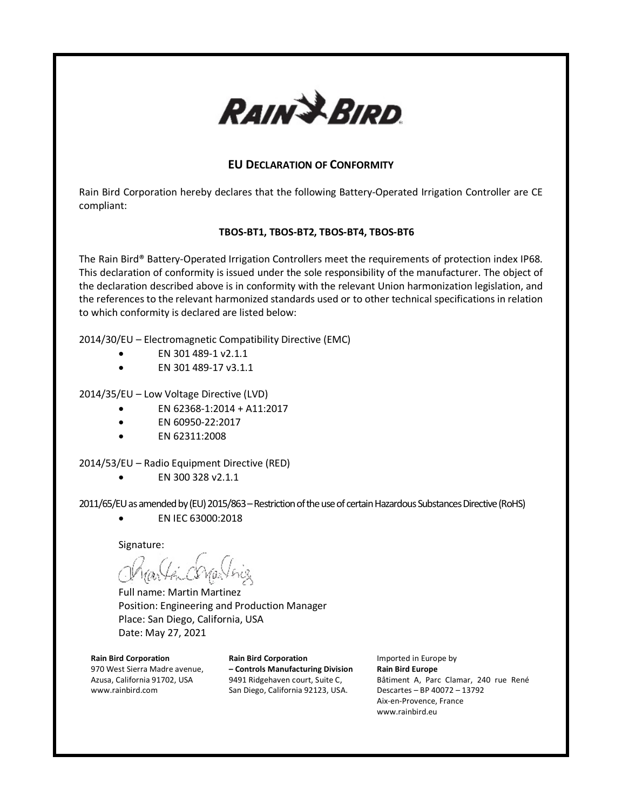

# **EU DECLARATION OF CONFORMITY**

Rain Bird Corporation hereby declares that the following Battery-Operated Irrigation Controller are CE compliant:

#### **TBOS-BT1, TBOS-BT2, TBOS-BT4, TBOS-BT6**

The Rain Bird® Battery-Operated Irrigation Controllers meet the requirements of protection index IP68. This declaration of conformity is issued under the sole responsibility of the manufacturer. The object of the declaration described above is in conformity with the relevant Union harmonization legislation, and the references to the relevant harmonized standards used or to other technical specifications in relation to which conformity is declared are listed below:

2014/30/EU – Electromagnetic Compatibility Directive (EMC)

- EN 301 489-1 v2.1.1
- EN 301 489-17 v3.1.1

2014/35/EU – Low Voltage Directive (LVD)

- EN 62368-1:2014 + A11:2017
- EN 60950-22:2017
- EN 62311:2008

2014/53/EU – Radio Equipment Directive (RED)

 $\bullet$  EN 300 328  $v$ 2.1.1

2011/65/EU as amended by (EU) 2015/863 - Restriction of the use of certain Hazardous Substances Directive (RoHS)

• EN IEC 63000:2018

Signature:

Full name: Martin Martinez Position: Engineering and Production Manager Place: San Diego, California, USA Date: May 27, 2021

### **Rain Bird Corporation**

970 West Sierra Madre avenue, Azusa, California 91702, USA www.rainbird.com

**Rain Bird Corporation – Controls Manufacturing Division** 9491 Ridgehaven court, Suite C, San Diego, California 92123, USA.

Imported in Europe by **Rain Bird Europe** Bâtiment A, Parc Clamar, 240 rue René Descartes – BP 40072 – 13792 Aix-en-Provence, France www.rainbird.eu